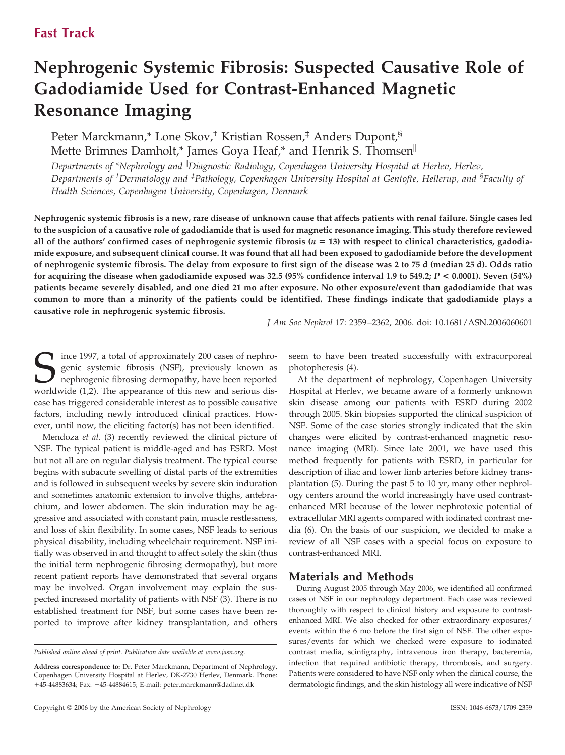# **Nephrogenic Systemic Fibrosis: Suspected Causative Role of Gadodiamide Used for Contrast-Enhanced Magnetic Resonance Imaging**

Peter Marckmann,\* Lone Skov,† Kristian Rossen,‡ Anders Dupont,§ Mette Brimnes Damholt,\* James Goya Heaf,\* and Henrik S. Thomsen

*Departments of \*Nephrology and Diagnostic Radiology, Copenhagen University Hospital at Herlev, Herlev, Departments of † Dermatology and ‡ Pathology, Copenhagen University Hospital at Gentofte, Hellerup, and § Faculty of Health Sciences, Copenhagen University, Copenhagen, Denmark*

**Nephrogenic systemic fibrosis is a new, rare disease of unknown cause that affects patients with renal failure. Single cases led to the suspicion of a causative role of gadodiamide that is used for magnetic resonance imaging. This study therefore reviewed** all of the authors' confirmed cases of nephrogenic systemic fibrosis (*n* = 13) with respect to clinical characteristics, gadodia**mide exposure, and subsequent clinical course. It was found that all had been exposed to gadodiamide before the development of nephrogenic systemic fibrosis. The delay from exposure to first sign of the disease was 2 to 75 d (median 25 d). Odds ratio for acquiring the disease when gadodiamide exposed was 32.5 (95% confidence interval 1.9 to 549.2;** *P* **< 0.0001). Seven (54%) patients became severely disabled, and one died 21 mo after exposure. No other exposure/event than gadodiamide that was common to more than a minority of the patients could be identified. These findings indicate that gadodiamide plays a causative role in nephrogenic systemic fibrosis.**

*J Am Soc Nephrol* 17: 2359 –2362, 2006. doi: 10.1681/ASN.2006060601

Since 1997, a total of approximately 200 cases of nephrogenic systemic fibrosis (NSF), previously known as nephrogenic fibrosing dermopathy, have been reported worldwide (1.2). The appearance of this new and serious disgenic systemic fibrosis (NSF), previously known as nephrogenic fibrosing dermopathy, have been reported worldwide (1,2). The appearance of this new and serious disease has triggered considerable interest as to possible causative factors, including newly introduced clinical practices. However, until now, the eliciting factor(s) has not been identified.

Mendoza *et al.* (3) recently reviewed the clinical picture of NSF. The typical patient is middle-aged and has ESRD. Most but not all are on regular dialysis treatment. The typical course begins with subacute swelling of distal parts of the extremities and is followed in subsequent weeks by severe skin induration and sometimes anatomic extension to involve thighs, antebrachium, and lower abdomen. The skin induration may be aggressive and associated with constant pain, muscle restlessness, and loss of skin flexibility. In some cases, NSF leads to serious physical disability, including wheelchair requirement. NSF initially was observed in and thought to affect solely the skin (thus the initial term nephrogenic fibrosing dermopathy), but more recent patient reports have demonstrated that several organs may be involved. Organ involvement may explain the suspected increased mortality of patients with NSF (3). There is no established treatment for NSF, but some cases have been reported to improve after kidney transplantation, and others

*Published online ahead of print. Publication date available at www.jasn.org.*

**Address correspondence to:** Dr. Peter Marckmann, Department of Nephrology, Copenhagen University Hospital at Herlev, DK-2730 Herlev, Denmark. Phone: 45-44883634; Fax: 45-44884615; E-mail: peter.marckmann@dadlnet.dk

seem to have been treated successfully with extracorporeal photopheresis (4).

At the department of nephrology, Copenhagen University Hospital at Herlev, we became aware of a formerly unknown skin disease among our patients with ESRD during 2002 through 2005. Skin biopsies supported the clinical suspicion of NSF. Some of the case stories strongly indicated that the skin changes were elicited by contrast-enhanced magnetic resonance imaging (MRI). Since late 2001, we have used this method frequently for patients with ESRD, in particular for description of iliac and lower limb arteries before kidney transplantation (5). During the past 5 to 10 yr, many other nephrology centers around the world increasingly have used contrastenhanced MRI because of the lower nephrotoxic potential of extracellular MRI agents compared with iodinated contrast media (6). On the basis of our suspicion, we decided to make a review of all NSF cases with a special focus on exposure to contrast-enhanced MRI.

## **Materials and Methods**

During August 2005 through May 2006, we identified all confirmed cases of NSF in our nephrology department. Each case was reviewed thoroughly with respect to clinical history and exposure to contrastenhanced MRI. We also checked for other extraordinary exposures/ events within the 6 mo before the first sign of NSF. The other exposures/events for which we checked were exposure to iodinated contrast media, scintigraphy, intravenous iron therapy, bacteremia, infection that required antibiotic therapy, thrombosis, and surgery. Patients were considered to have NSF only when the clinical course, the dermatologic findings, and the skin histology all were indicative of NSF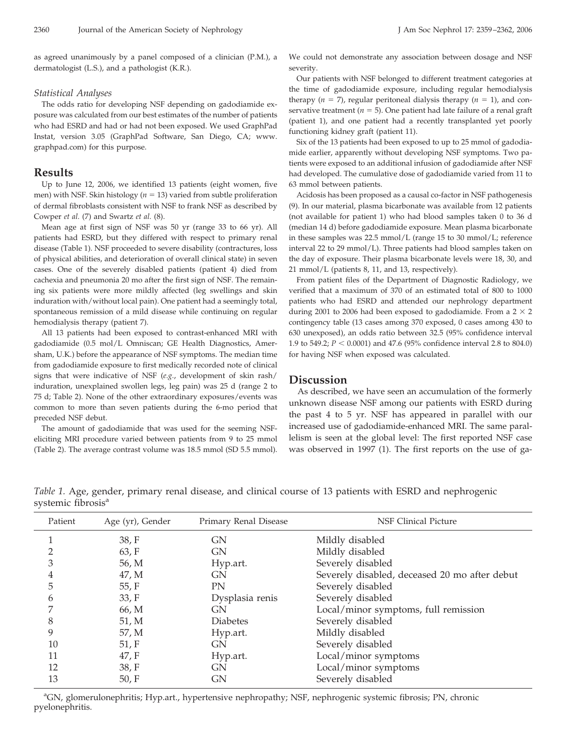as agreed unanimously by a panel composed of a clinician (P.M.), a dermatologist (L.S.), and a pathologist (K.R.).

#### *Statistical Analyses*

The odds ratio for developing NSF depending on gadodiamide exposure was calculated from our best estimates of the number of patients who had ESRD and had or had not been exposed. We used GraphPad Instat, version 3.05 (GraphPad Software, San Diego, CA; www. graphpad.com) for this purpose.

### **Results**

Up to June 12, 2006, we identified 13 patients (eight women, five men) with NSF. Skin histology ( $n = 13$ ) varied from subtle proliferation of dermal fibroblasts consistent with NSF to frank NSF as described by Cowper *et al.* (7) and Swartz *et al.* (8).

Mean age at first sign of NSF was 50 yr (range 33 to 66 yr). All patients had ESRD, but they differed with respect to primary renal disease (Table 1). NSF proceeded to severe disability (contractures, loss of physical abilities, and deterioration of overall clinical state) in seven cases. One of the severely disabled patients (patient 4) died from cachexia and pneumonia 20 mo after the first sign of NSF. The remaining six patients were more mildly affected (leg swellings and skin induration with/without local pain). One patient had a seemingly total, spontaneous remission of a mild disease while continuing on regular hemodialysis therapy (patient 7).

All 13 patients had been exposed to contrast-enhanced MRI with gadodiamide (0.5 mol/L Omniscan; GE Health Diagnostics, Amersham, U.K.) before the appearance of NSF symptoms. The median time from gadodiamide exposure to first medically recorded note of clinical signs that were indicative of NSF (*e.g.*, development of skin rash/ induration, unexplained swollen legs, leg pain) was 25 d (range 2 to 75 d; Table 2). None of the other extraordinary exposures/events was common to more than seven patients during the 6-mo period that preceded NSF debut.

The amount of gadodiamide that was used for the seeming NSFeliciting MRI procedure varied between patients from 9 to 25 mmol (Table 2). The average contrast volume was 18.5 mmol (SD 5.5 mmol).

We could not demonstrate any association between dosage and NSF severity.

Our patients with NSF belonged to different treatment categories at the time of gadodiamide exposure, including regular hemodialysis therapy  $(n = 7)$ , regular peritoneal dialysis therapy  $(n = 1)$ , and conservative treatment ( $n = 5$ ). One patient had late failure of a renal graft (patient 1), and one patient had a recently transplanted yet poorly functioning kidney graft (patient 11).

Six of the 13 patients had been exposed to up to 25 mmol of gadodiamide earlier, apparently without developing NSF symptoms. Two patients were exposed to an additional infusion of gadodiamide after NSF had developed. The cumulative dose of gadodiamide varied from 11 to 63 mmol between patients.

Acidosis has been proposed as a causal co-factor in NSF pathogenesis (9). In our material, plasma bicarbonate was available from 12 patients (not available for patient 1) who had blood samples taken 0 to 36 d (median 14 d) before gadodiamide exposure. Mean plasma bicarbonate in these samples was 22.5 mmol/L (range 15 to 30 mmol/L; reference interval 22 to 29 mmol/L). Three patients had blood samples taken on the day of exposure. Their plasma bicarbonate levels were 18, 30, and 21 mmol/L (patients 8, 11, and 13, respectively).

From patient files of the Department of Diagnostic Radiology, we verified that a maximum of 370 of an estimated total of 800 to 1000 patients who had ESRD and attended our nephrology department during 2001 to 2006 had been exposed to gadodiamide. From a  $2 \times 2$ contingency table (13 cases among 370 exposed, 0 cases among 430 to 630 unexposed), an odds ratio between 32.5 (95% confidence interval 1.9 to 549.2; *P* < 0.0001) and 47.6 (95% confidence interval 2.8 to 804.0) for having NSF when exposed was calculated.

#### **Discussion**

As described, we have seen an accumulation of the formerly unknown disease NSF among our patients with ESRD during the past 4 to 5 yr. NSF has appeared in parallel with our increased use of gadodiamide-enhanced MRI. The same parallelism is seen at the global level: The first reported NSF case was observed in 1997 (1). The first reports on the use of ga-

*Table 1.* Age, gender, primary renal disease, and clinical course of 13 patients with ESRD and nephrogenic systemic fibrosis<sup>a</sup>

| Patient | Age (yr), Gender | Primary Renal Disease | <b>NSF Clinical Picture</b>                   |  |
|---------|------------------|-----------------------|-----------------------------------------------|--|
|         | 38, F            | GN                    | Mildly disabled                               |  |
|         | 63, F            | <b>GN</b>             | Mildly disabled                               |  |
|         | 56, M            | Hyp.art.              | Severely disabled                             |  |
| 4       | 47, M            | GN                    | Severely disabled, deceased 20 mo after debut |  |
| 5       | 55, F            | PN                    | Severely disabled                             |  |
| b       | 33, F            | Dysplasia renis       | Severely disabled                             |  |
|         | 66, M            | GN                    | Local/minor symptoms, full remission          |  |
| 8       | 51, M            | <b>Diabetes</b>       | Severely disabled                             |  |
| 9       | 57, M            | Hyp.art.              | Mildly disabled                               |  |
| 10      | 51, F            | GN                    | Severely disabled                             |  |
| 11      | 47, F            | Hyp.art.              | Local/minor symptoms                          |  |
| 12      | 38, F            | GN                    | Local/minor symptoms                          |  |
| 13      | 50, F            | GN                    | Severely disabled                             |  |
|         |                  |                       |                                               |  |

<sup>a</sup>GN, glomerulonephritis; Hyp.art., hypertensive nephropathy; NSF, nephrogenic systemic fibrosis; PN, chronic pyelonephritis.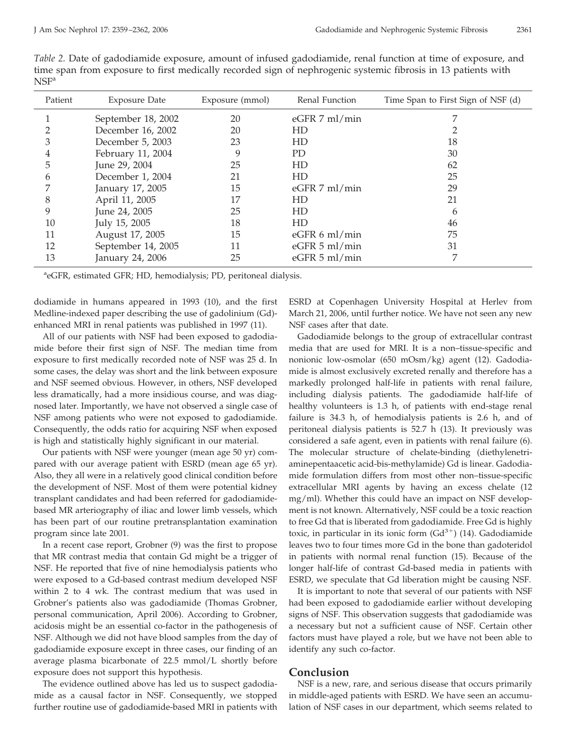| <b>Exposure Date</b> | Exposure (mmol) | Renal Function  | Time Span to First Sign of NSF (d) |
|----------------------|-----------------|-----------------|------------------------------------|
| September 18, 2002   | 20              | $eGFR$ 7 ml/min |                                    |
| December 16, 2002    | 20              | HD              |                                    |
| December 5, 2003     | 23              | HD              | 18                                 |
| February 11, 2004    | 9               | PD              | 30                                 |
| June 29, 2004        | 25              | HD              | 62                                 |
| December 1, 2004     | 21              | HD              | 25                                 |
| January 17, 2005     | 15              | $eGFR$ 7 ml/min | 29                                 |
| April 11, 2005       | 17              | HD              | 21                                 |
| June 24, 2005        | 25              | HD              | h                                  |
| July 15, 2005        | 18              | HD              | 46                                 |
| August 17, 2005      | 15              | $eGFR 6$ ml/min | 75                                 |
| September 14, 2005   | 11              | $eGFR$ 5 ml/min | 31                                 |
| January 24, 2006     | 25              | $eGFR$ 5 ml/min |                                    |
|                      |                 |                 |                                    |

*Table 2.* Date of gadodiamide exposure, amount of infused gadodiamide, renal function at time of exposure, and time span from exposure to first medically recorded sign of nephrogenic systemic fibrosis in 13 patients with  $NSF<sup>a</sup>$ 

<sup>a</sup>eGFR, estimated GFR; HD, hemodialysis; PD, peritoneal dialysis.

dodiamide in humans appeared in 1993 (10), and the first Medline-indexed paper describing the use of gadolinium (Gd) enhanced MRI in renal patients was published in 1997 (11).

All of our patients with NSF had been exposed to gadodiamide before their first sign of NSF. The median time from exposure to first medically recorded note of NSF was 25 d. In some cases, the delay was short and the link between exposure and NSF seemed obvious. However, in others, NSF developed less dramatically, had a more insidious course, and was diagnosed later. Importantly, we have not observed a single case of NSF among patients who were not exposed to gadodiamide. Consequently, the odds ratio for acquiring NSF when exposed is high and statistically highly significant in our material.

Our patients with NSF were younger (mean age 50 yr) compared with our average patient with ESRD (mean age 65 yr). Also, they all were in a relatively good clinical condition before the development of NSF. Most of them were potential kidney transplant candidates and had been referred for gadodiamidebased MR arteriography of iliac and lower limb vessels, which has been part of our routine pretransplantation examination program since late 2001.

In a recent case report, Grobner (9) was the first to propose that MR contrast media that contain Gd might be a trigger of NSF. He reported that five of nine hemodialysis patients who were exposed to a Gd-based contrast medium developed NSF within 2 to 4 wk. The contrast medium that was used in Grobner's patients also was gadodiamide (Thomas Grobner, personal communication, April 2006). According to Grobner, acidosis might be an essential co-factor in the pathogenesis of NSF. Although we did not have blood samples from the day of gadodiamide exposure except in three cases, our finding of an average plasma bicarbonate of 22.5 mmol/L shortly before exposure does not support this hypothesis.

The evidence outlined above has led us to suspect gadodiamide as a causal factor in NSF. Consequently, we stopped further routine use of gadodiamide-based MRI in patients with ESRD at Copenhagen University Hospital at Herlev from March 21, 2006, until further notice. We have not seen any new NSF cases after that date.

Gadodiamide belongs to the group of extracellular contrast media that are used for MRI. It is a non–tissue-specific and nonionic low-osmolar (650 mOsm/kg) agent (12). Gadodiamide is almost exclusively excreted renally and therefore has a markedly prolonged half-life in patients with renal failure, including dialysis patients. The gadodiamide half-life of healthy volunteers is 1.3 h, of patients with end-stage renal failure is 34.3 h, of hemodialysis patients is 2.6 h, and of peritoneal dialysis patients is 52.7 h (13). It previously was considered a safe agent, even in patients with renal failure (6). The molecular structure of chelate-binding (diethylenetriaminepentaacetic acid-bis-methylamide) Gd is linear. Gadodiamide formulation differs from most other non–tissue-specific extracellular MRI agents by having an excess chelate (12 mg/ml). Whether this could have an impact on NSF development is not known. Alternatively, NSF could be a toxic reaction to free Gd that is liberated from gadodiamide. Free Gd is highly toxic, in particular in its ionic form  $(Gd^{3+})$  (14). Gadodiamide leaves two to four times more Gd in the bone than gadoteridol in patients with normal renal function (15). Because of the longer half-life of contrast Gd-based media in patients with ESRD, we speculate that Gd liberation might be causing NSF.

It is important to note that several of our patients with NSF had been exposed to gadodiamide earlier without developing signs of NSF. This observation suggests that gadodiamide was a necessary but not a sufficient cause of NSF. Certain other factors must have played a role, but we have not been able to identify any such co-factor.

# **Conclusion**

NSF is a new, rare, and serious disease that occurs primarily in middle-aged patients with ESRD. We have seen an accumulation of NSF cases in our department, which seems related to